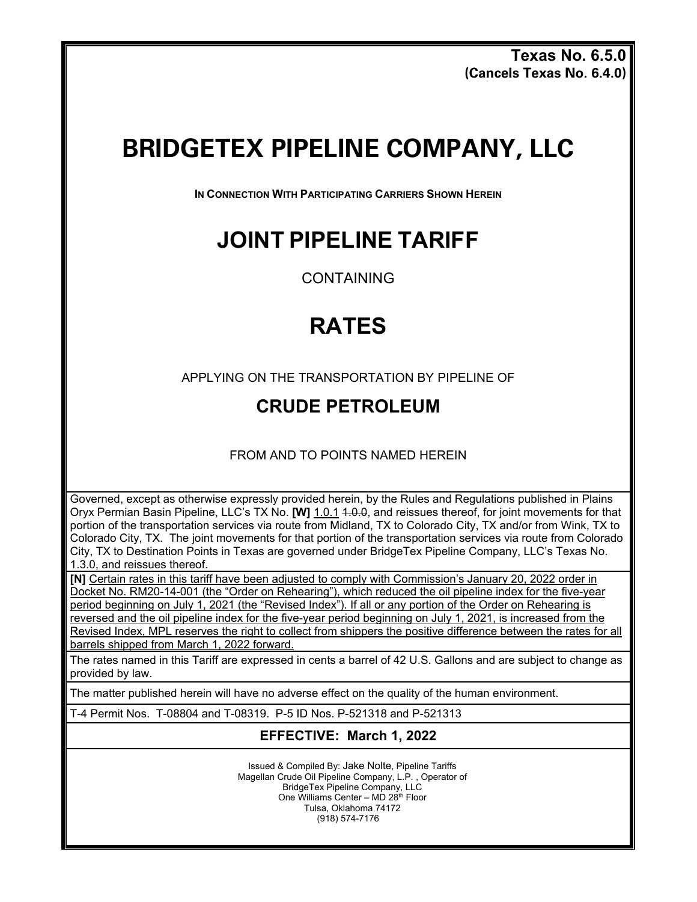**Texas No. 6.5.0 (Cancels Texas No. 6.4.0)**

# **BRIDGETEX PIPELINE COMPANY, LLC**

**IN CONNECTION WITH PARTICIPATING CARRIERS SHOWN HEREIN**

### **JOINT PIPELINE TARIFF**

CONTAINING

## **RATES**

APPLYING ON THE TRANSPORTATION BY PIPELINE OF

#### **CRUDE PETROLEUM**

FROM AND TO POINTS NAMED HEREIN

Governed, except as otherwise expressly provided herein, by the Rules and Regulations published in Plains Oryx Permian Basin Pipeline, LLC's TX No. **[W]** 1.0.1 1.0.0, and reissues thereof, for joint movements for that portion of the transportation services via route from Midland, TX to Colorado City, TX and/or from Wink, TX to Colorado City, TX. The joint movements for that portion of the transportation services via route from Colorado City, TX to Destination Points in Texas are governed under BridgeTex Pipeline Company, LLC's Texas No. 1.3.0, and reissues thereof.

**[N]** Certain rates in this tariff have been adjusted to comply with Commission's January 20, 2022 order in Docket No. RM20-14-001 (the "Order on Rehearing"), which reduced the oil pipeline index for the five-year

period beginning on July 1, 2021 (the "Revised Index"). If all or any portion of the Order on Rehearing is reversed and the oil pipeline index for the five-year period beginning on July 1, 2021, is increased from the Revised Index, MPL reserves the right to collect from shippers the positive difference between the rates for all barrels shipped from March 1, 2022 forward.

The rates named in this Tariff are expressed in cents a barrel of 42 U.S. Gallons and are subject to change as provided by law.

The matter published herein will have no adverse effect on the quality of the human environment.

T-4 Permit Nos. T-08804 and T-08319. P-5 ID Nos. P-521318 and P-521313

#### **EFFECTIVE: March 1, 2022**

Issued & Compiled By: Jake Nolte, Pipeline Tariffs Magellan Crude Oil Pipeline Company, L.P. , Operator of BridgeTex Pipeline Company, LLC One Williams Center – MD 28th Floor Tulsa, Oklahoma 74172 (918) 574-7176